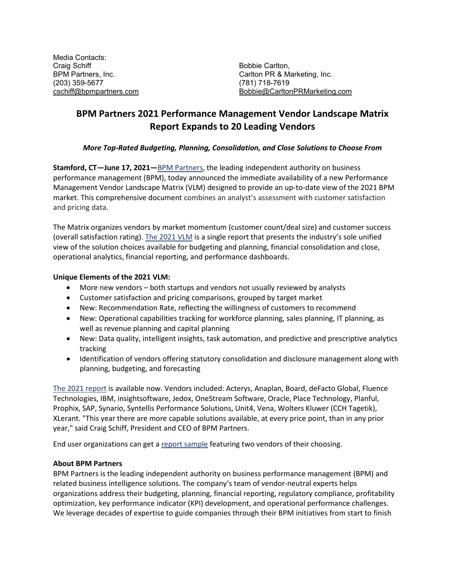Media Contacts: Craig Schiff Bobbie Carlton, (203) 359-5677 (781) 718-7619

Carlton PR & Marketing, Inc. [cschiff@bpmpartners.com](mailto:cschiff@bpmpartners.com) [Bobbie@CarltonPRMarketing.com](mailto:Bobbie@CarltonPRMarketing.com)

## **BPM Partners 2021 Performance Management Vendor Landscape Matrix Report Expands to 20 Leading Vendors**

## *More Top-Rated Budgeting, Planning, Consolidation, and Close Solutions to Choose From*

**Stamford, CT—June 17, 2021—**[BPM Partners,](https://www.bpmpartners.com/) the leading independent authority on business performance management (BPM), today announced the immediate availability of a new Performance Management Vendor Landscape Matrix (VLM) designed to provide an up-to-date view of the 2021 BPM market. This comprehensive document combines an analyst's assessment with customer satisfaction and pricing data.

The Matrix organizes vendors by market momentum (customer count/deal size) and customer success (overall satisfaction rating)[. The 2021](https://www.bpmpartners.com/performance-place/vendor-landscape-matrix-report/) VLM is a single report that presents the industry's sole unified view of the solution choices available for budgeting and planning, financial consolidation and close, operational analytics, financial reporting, and performance dashboards.

## **Unique Elements of the 2021 VLM:**

- More new vendors both startups and vendors not usually reviewed by analysts
- Customer satisfaction and pricing comparisons, grouped by target market
- New: Recommendation Rate, reflecting the willingness of customers to recommend
- New: Operational capabilities tracking for workforce planning, sales planning, IT planning, as well as revenue planning and capital planning
- New: Data quality, intelligent insights, task automation, and predictive and prescriptive analytics tracking
- Identification of vendors offering statutory consolidation and disclosure management along with planning, budgeting, and forecasting

[The 2021](https://www.bpmpartners.com/performance-place/vendor-landscape-matrix-report/) report is available now. Vendors included: Acterys, Anaplan, Board, deFacto Global, Fluence Technologies, IBM, insightsoftware, Jedox, OneStream Software, Oracle, Place Technology, Planful, Prophix, SAP, Synario, Syntellis Performance Solutions, Unit4, Vena, Wolters Kluwer (CCH Tagetik), XLerant. "This year there are more capable solutions available, at every price point, than in any prior year," said Craig Schiff, President and CEO of BPM Partners.

End user organizations can get a [report sample](https://www.bpmpartners.com/performance-place/vendor-snapshots/) featuring two vendors of their choosing.

## **About BPM Partners**

BPM Partners is the leading independent authority on business performance management (BPM) and related business intelligence solutions. The company's team of vendor-neutral experts helps organizations address their budgeting, planning, financial reporting, regulatory compliance, profitability optimization, key performance indicator (KPI) development, and operational performance challenges. We leverage decades of expertise to guide companies through their BPM initiatives from start to finish